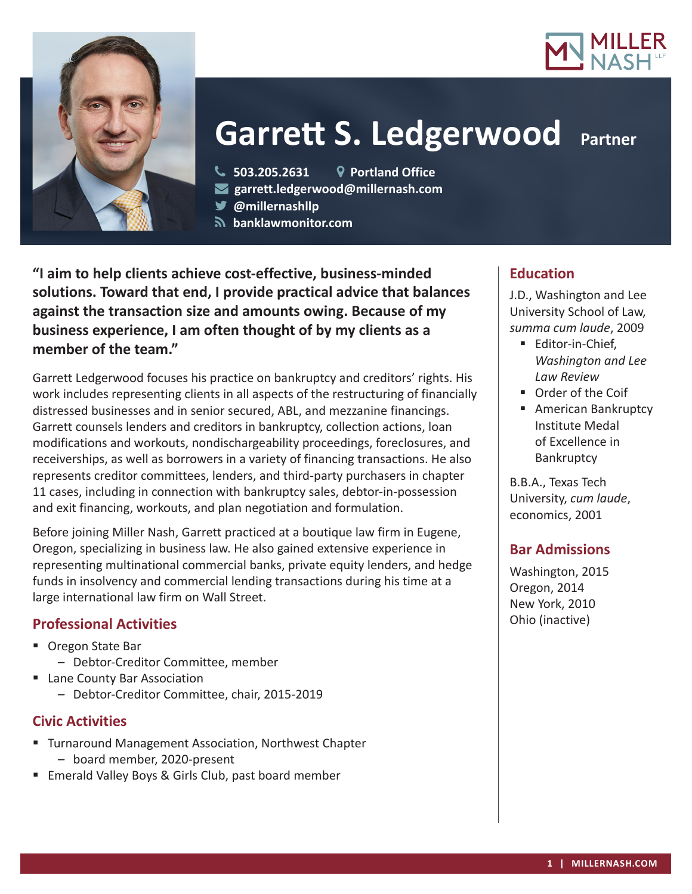



# **Garrett S. Ledgerwood Partner**

**503.205.2631 Portland Office**

**garrett.ledgerwood@millernash.com** 

**@millernashllp** 

 **banklawmonitor.com**

**"I aim to help clients achieve cost-effective, business-minded solutions. Toward that end, I provide practical advice that balances against the transaction size and amounts owing. Because of my business experience, I am often thought of by my clients as a member of the team."**

Garrett Ledgerwood focuses his practice on bankruptcy and creditors' rights. His work includes representing clients in all aspects of the restructuring of financially distressed businesses and in senior secured, ABL, and mezzanine financings. Garrett counsels lenders and creditors in bankruptcy, collection actions, loan modifications and workouts, nondischargeability proceedings, foreclosures, and receiverships, as well as borrowers in a variety of financing transactions. He also represents creditor committees, lenders, and third-party purchasers in chapter 11 cases, including in connection with bankruptcy sales, debtor-in-possession and exit financing, workouts, and plan negotiation and formulation.

Before joining Miller Nash, Garrett practiced at a boutique law firm in Eugene, Oregon, specializing in business law. He also gained extensive experience in representing multinational commercial banks, private equity lenders, and hedge funds in insolvency and commercial lending transactions during his time at a large international law firm on Wall Street.

# **Professional Activities**

- Oregon State Bar
	- Debtor-Creditor Committee, member
- **Lane County Bar Association** 
	- Debtor-Creditor Committee, chair, 2015-2019

# **Civic Activities**

- **Turnaround Management Association, Northwest Chapter** – board member, 2020-present
- **Emerald Valley Boys & Girls Club, past board member**

# **Education**

J.D., Washington and Lee University School of Law, *summa cum laude*, 2009

- **Editor-in-Chief,** *Washington and Lee Law Review*
- **Order of the Coif**
- **American Bankruptcy** Institute Medal of Excellence in **Bankruptcy**

B.B.A., Texas Tech University, *cum laude*, economics, 2001

## **Bar Admissions**

Washington, 2015 Oregon, 2014 New York, 2010 Ohio (inactive)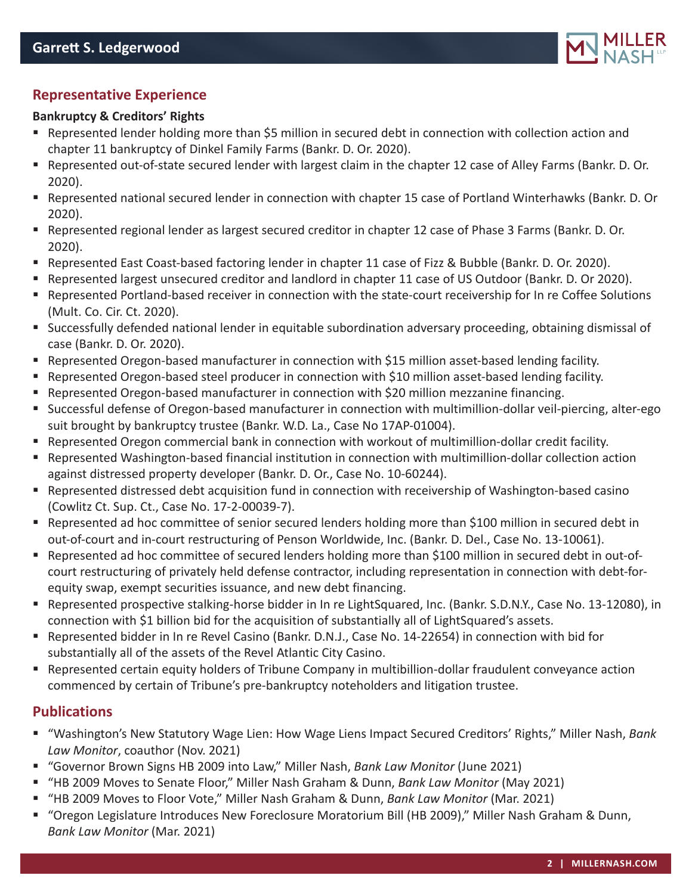

# **Representative Experience**

#### **Bankruptcy & Creditors' Rights**

- Represented lender holding more than \$5 million in secured debt in connection with collection action and chapter 11 bankruptcy of Dinkel Family Farms (Bankr. D. Or. 2020).
- Represented out-of-state secured lender with largest claim in the chapter 12 case of Alley Farms (Bankr. D. Or. 2020).
- Represented national secured lender in connection with chapter 15 case of Portland Winterhawks (Bankr. D. Or 2020).
- Represented regional lender as largest secured creditor in chapter 12 case of Phase 3 Farms (Bankr. D. Or. 2020).
- Represented East Coast-based factoring lender in chapter 11 case of Fizz & Bubble (Bankr. D. Or. 2020).
- Represented largest unsecured creditor and landlord in chapter 11 case of US Outdoor (Bankr. D. Or 2020).
- Represented Portland-based receiver in connection with the state-court receivership for In re Coffee Solutions (Mult. Co. Cir. Ct. 2020).
- Successfully defended national lender in equitable subordination adversary proceeding, obtaining dismissal of case (Bankr. D. Or. 2020).
- Represented Oregon-based manufacturer in connection with \$15 million asset-based lending facility.
- **•** Represented Oregon-based steel producer in connection with \$10 million asset-based lending facility.
- Represented Oregon-based manufacturer in connection with \$20 million mezzanine financing.
- Successful defense of Oregon-based manufacturer in connection with multimillion-dollar veil-piercing, alter-ego suit brought by bankruptcy trustee (Bankr. W.D. La., Case No 17AP-01004).
- Represented Oregon commercial bank in connection with workout of multimillion-dollar credit facility.
- Represented Washington-based financial institution in connection with multimillion-dollar collection action against distressed property developer (Bankr. D. Or., Case No. 10-60244).
- Represented distressed debt acquisition fund in connection with receivership of Washington-based casino (Cowlitz Ct. Sup. Ct., Case No. 17-2-00039-7).
- Represented ad hoc committee of senior secured lenders holding more than \$100 million in secured debt in out-of-court and in-court restructuring of Penson Worldwide, Inc. (Bankr. D. Del., Case No. 13-10061).
- Represented ad hoc committee of secured lenders holding more than \$100 million in secured debt in out-ofcourt restructuring of privately held defense contractor, including representation in connection with debt-forequity swap, exempt securities issuance, and new debt financing.
- Represented prospective stalking-horse bidder in In re LightSquared, Inc. (Bankr. S.D.N.Y., Case No. 13-12080), in connection with \$1 billion bid for the acquisition of substantially all of LightSquared's assets.
- Represented bidder in In re Revel Casino (Bankr. D.N.J., Case No. 14-22654) in connection with bid for substantially all of the assets of the Revel Atlantic City Casino.
- Represented certain equity holders of Tribune Company in multibillion-dollar fraudulent conveyance action commenced by certain of Tribune's pre-bankruptcy noteholders and litigation trustee.

## **Publications**

- "Washington's New Statutory Wage Lien: How Wage Liens Impact Secured Creditors' Rights," Miller Nash, *Bank Law Monitor*, coauthor (Nov. 2021)
- "Governor Brown Signs HB 2009 into Law," Miller Nash, *Bank Law Monitor* (June 2021)
- "HB 2009 Moves to Senate Floor," Miller Nash Graham & Dunn, *Bank Law Monitor* (May 2021)
- "HB 2009 Moves to Floor Vote," Miller Nash Graham & Dunn, *Bank Law Monitor* (Mar. 2021)
- "Oregon Legislature Introduces New Foreclosure Moratorium Bill (HB 2009)," Miller Nash Graham & Dunn, *Bank Law Monitor* (Mar. 2021)